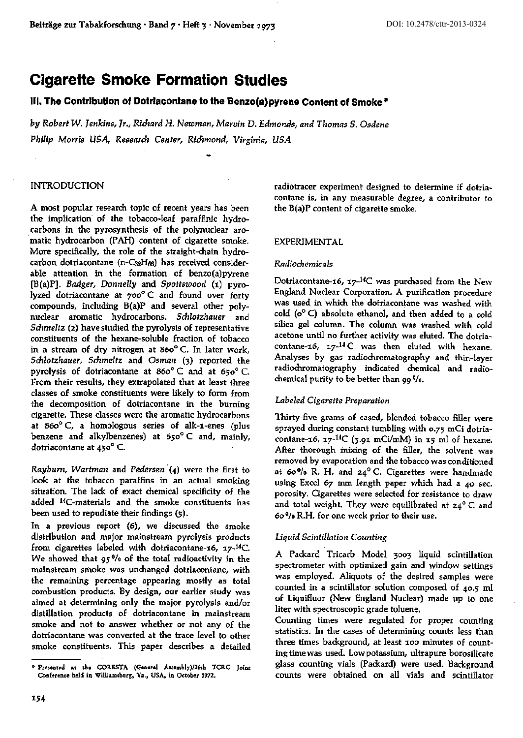# Cigarette Smoke Formation Studies

# Ill. **The Contribution of Dotrlacontane to the Benzo(a)pyrene Content of Smoke** •

*by Robert W.]enkins, Jr., Richard H. Newman, Marvin* D. *Edmonds, and Thomas S. Osdene Philip Morris USA, Research Center, Richmond, Virginia, USA.* 

# INTRODUCTION

A most popular research topic of recent years has been the implication of the tobacco-leaf paraffinic hydrocarbons in the pyrosynthesis of the polynuclear aromatic hydrocarbon (PAH) content of cigarette smoke. More specifically, the role of the straight-chain hydrocarbon dotriacontane  $(n-C_{52}H_{66})$  has received considerable attention in the formation of benzo(a)pyrene [B(a)P]. *Badger, Donnelly* and *Spottswood* (1) pyrolyzed dotriacontane at *700°* C and found over forty compounds, including B(a)P and several other polynuclear aromatic hydrocarbons. *Schlotzhauer* and *Schmeltz* (z) have studied the pyrolysis of representative constituents of the hexane-soluble fraction of tobacco in a stream of dry nitrogen at  $860^{\circ}$  C. In later work, *Schlotzhauer, Schmeltz* and *Osman* (3) reported the pyrolysis of dotriacontane at  $860^{\circ}$ C and at  $650^{\circ}$ C. From their results, they extrapolated that at least three classes of smoke constituents were likely to form from the decomposition of dotriacontane in the burning cigarette. These classes were the aromatic hydrocarbons at 86o° C, a homologous series of alk-1-enes (plus benzene and alkylbenzenes) at 650° C and, mainly, dotriacontane at 450° C.

*Rayburn, Wartman* and *Pedersen* .(4) were the first to look at the tobacco paraffins in an actual smoking situation. The lack of exact chemical specificity of the added 14C-materials and the smoke constituents has been used to repudiate their findings (5).

In a previous report (6), we discussed the smoke distribution and major mainstream pyrolysis products from cigarettes labeled with dotriacontane-16,  $17-14C$ . We showed that 95°/o of the total radioactivity in the mainstream smoke was unchanged dotriacontane, with the remaining percentage appearing mostly as total combustion products. By design, our earlier study was aimed at determining only the major pyrolysis and/or distillation products of dotriacontane in mainstream smoke and not to answer whether or not any of the dotriacontane was converted at the trace level to other smoke constituents. This paper describes a detailed radiotracer experiment designed to determine if dotria~ contane is, in any measurable degree, a contributor to the B(a)P content of cigarette smoke.

## EXPERIMENTAL

#### *Radiochemicals*

Dotriacontane-16, 17- $^{14}C$  was purchased from the New England Nuclear Corporation. A purification procedure was used in which the dotriacontane was washed with cold  $(o^{\circ} C)$  absolute ethanol, and then added to a cold silica gel column. The column was washed with cold acetone until no further activity was eluted. The dotriacontane-16,  $17-14$  C was then eluted with hexane. Analyses by gas radiodiromatography and thin-layer radiodtromatography indicated chemical and radiochemical purity to be better than 99 °/o.

## *Labeled Cigarette Preparation*

Thirty-five grams of cased, blended tobacco filler were sprayed during constant tumbling with 0.75 mCi dotriacontane-16, 17- $^{14}C$  (3.91 mCi/mM) in 15 ml of hexane. After thorough mixing of the filler, the solvent was removed by evaporation and the tobacco was conditioned at 60% R. H. and  $24^{\circ}$  C. Cigarettes were handmade using Excel 67 mm length paper which had a 40 sec. porosity. Cigarettes were selected for resistance to draw and total weight. They were equilibrated at  $24^{\circ}$  C and 6o 0/o R.H. for one week prior to their use.

## *Liquid Scintillation Counting*

A Packard Tricarb Model 3003 liquid scintillation spectrometer with optimized gain and window settings was employed. Aliquots of the desired samples were counted in a scintillator solution composed of 40.5 ml of liquifluor (New England Nuclear) made up to one liter with spectroscopic grade toluene.

Counting times were regulated for proper counting statistics. In the cases of determining counts less than three times background, at least 100 minutes of counting time was used. Lowpotassium, ultrapure borosilicate glass counting vials (Packard) were used. Background counts were obtained on all vials and scintillator

<sup>\*</sup> Presented at the CORESTA (General Assembly)/26th TCRC Joint Conference held in Williamsburg, Va., USA, in October 1972.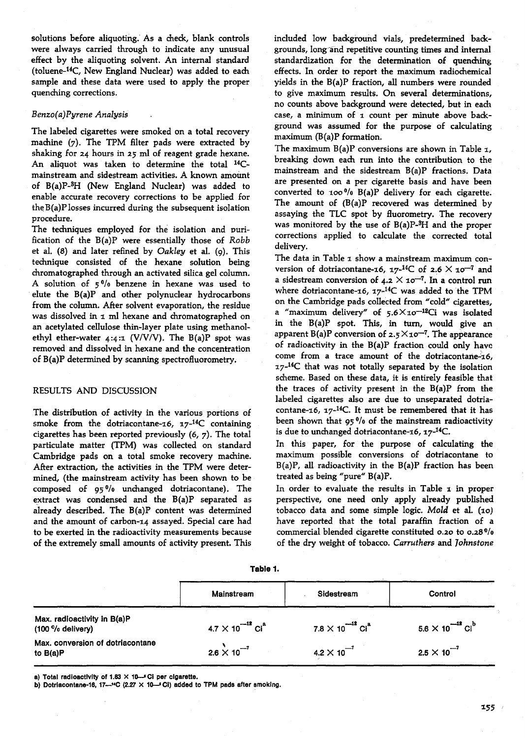solutions before aliquoting. As a check, blank controls were always carried through to indicate any unusual effect by the aliquoting solvent. An internal standard (toluene-14C, New England Nuclear) was added to each sample and these data were used to apply the proper quenching corrections.

#### *Benzo(a)Pyrene Analysis*

The labeled cigarettes were smoked on a total recovery machine (7). The TPM filter pads were extracted by shaking for *24* hours in 25 ml of reagent grade hexane. An aliquot was taken to determine the total 14Cmainstream and sidestream activities. A known amount of B(a)P-8H (New England Nuclear) was added to enable accurate recovery corrections to be applied for the B(a)P losses incurred during the subsequent isolation procedure.

The techniques employed for the isolation and purification of the B(a)P were essentially those of *Robb*  et al. (8) and later refined by *Oakley* et al. (9). This technique consisted of the hexane solution being chromatographed through an activated silica gel column. A solution of 5% benzene in hexane was used to elute the B(a)P and other polynuclear hydrocarbons from the column. After solvent evaporation, the residue was dissolved in  $\tau$  ml hexane and chromatographed on an acetylated cellulose thin-layer plate using methanolethyl ether-water  $4:4:1$  (V/V/V). The B(a)P spot was removed and dissolved in hexane and the concentration of B(a)P determined by scanning spectrofluorometry.

## RESULTS AND DISCUSSION

The distribution of activity in the various portions of smoke from the dotriacontane-16,  $17^{-14}C$  containing cigarettes has been reported previously (6, 7). The total particulate matter (TPM) was collected on standard Cambridge pads on a total smoke recovery machine. After extraction, the activities in the TPM were determined, (the mainstream activity has been shown to be composed of  $95\%$  unchanged dotriacontane). The extract was condensed and the B(a)P separated as already described. The B(a)P content was determined and the amount of carbon-14 assayed. Special care had to be exerted in the radioactivity measurements because of the extremely small amounts of activity present. This

included low background vials, predetermined backgrounds, long~and repetitive counting times and internal standardization for the determination of quenching effects. In order to report the maximum radiochemical yields in the B(a)P fraction, all numbers were rounded to give maximum results. On several determinations, no counts above background were detected, but in each case, a minimum of 1 count per minute above background was assumed for the purpose of calculating maximum (B(a)P formation.

The maximum  $B(a)P$  conversions are shown in Table 1, breaking down each run into the contribution to the mainstream and the sidestream B(a)P fractions. Data are presented on a per cigarette basis and have been converted to  $100\%$  B(a)P delivery for each cigarette. The amount of (B(a)P recovered was determined by assaying the TLC spot by fluorometry. The recovery was monitored by the use of  $B(a)P-<sup>3</sup>H$  and the proper corrections applied to calculate the corrected total delivery.

The data in Table 1 show a mainstream maximum conversion of dotriacontane-16, 17-<sup>14</sup>C of 2.6  $\times$  10<sup>-7</sup> and a sidestream conversion of 4.2  $\times$  10<sup>-7</sup>. In a control run where dotriacontane-16,  $17-14C$  was added to the TPM on the Cambridge pads collected from "cold" cigarettes, a "maximum delivery" of  $5.6 \times 10^{-12}$ Ci was isolated in the B(a)P spot. This, in turn, would give an apparent B(a)P conversion of  $2.5 \times 10^{-7}$ . The appearance of radioactivity in the B(a)P fraction could only have come from a trace amount of the dotriacontane- $16$ ,  $17<sup>-14</sup>C$  that was not totally separated by the isolation scheme. Based on these data, it is entirely feasible that the traces of activity present in the B(a)P from the labeled cigarettes also are due to unseparated dotriacontane-16,  $17^{-14}$ C. It must be remembered that it has been shown that 95 °/o of the mainstream radioactivity is due to unchanged dotriacontane-16,  $17^{-14}$ C.

In this paper, for the purpose of calculating the maximum possible conversions of dotriacontane to  $B(a)P$ , all radioactivity in the  $B(a)P$  fraction has been treated as being "pure" B(a)P.

In order to evaluate the results in Table  $1$  in proper perspective, one need only apply already published tobacco data and some simple logic. Mold et al. (10) have reported that the total paraffin fraction of a commercial blended Cigarette constituted o.2o to 0.28°/o of the dry weigltt of tobacco. *Carruthers* and *Tohnstone* 

**Table 1.** 

|                                                              | Mainstream                            | Sidestream                          | Control                               |
|--------------------------------------------------------------|---------------------------------------|-------------------------------------|---------------------------------------|
| Max. radioactivity in B(a)P<br>$(100\frac{6}{10})$ delivery) | $4.7 \times 10^{-12}$ Ci <sup>a</sup> | $7.8\times10^{-12}$ Ci <sup>a</sup> | $5.6 \times 10^{-12}$ Cl <sup>b</sup> |
| Max, conversion of dotriacontane<br>to $B(a)P$               | $2.6 \times 10^{-7}$                  | $4.2 \times 10^{-7}$                | $2.5 \times 10^{-7}$                  |

a) Total radioactivity of 1.83  $\times$  10....<sup>5</sup> Ci per cigarette.

b) Dotriacontane-16, 17--14C (2.27  $\times$  10-5 Ci) added to TPM pads after smoking.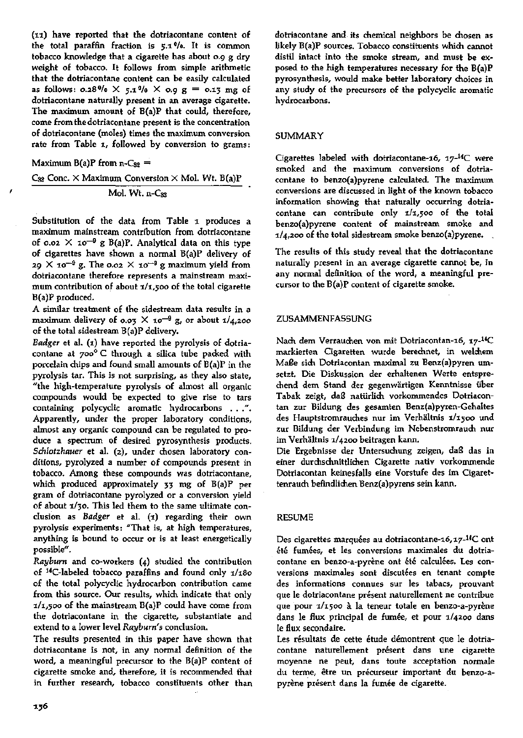(1:1) have reported that the dotriacontane content *oE*  the total paraffin fraction is  $5.1$ %. It is common tobacco knowledge that a cigarette has about 0.9 g dry weight of tobacco. It follows from simple arithmetic that the dotriacontane content can be easily calculated as follows: 0.28%  $\times$  5.1%  $\times$  0.9 g = 0.13 mg of dotriacontane naturally present in an average cigarette. The maximum amount of B(a)P that could, therefore, come from the dotriacontane present is the concentration of dotriacontane (moles) times the maximum conversion rate from Table 1, followed by conversion to grams:

Maximum  $B(a)P$  from n-C<sub>32</sub> =

'

 $C_{32}$  Conc.  $\times$  Maximum Conversion  $\times$  Mol. Wt. B(a)P Mol. Wt. n-Css

Substitution of the data from Table 1 produces a maximum mainstream contribution from dotriacontane of 0.02  $\times$  10<sup>-9</sup> g B(a)P. Analytical data on this type of cigarettes have shown a normal B(a)P delivery of 29  $\times$  10<sup>-9</sup> g. The 0.02  $\times$  10<sup>-9</sup> g maximum yield from dotriacontane therefore represents a mainstream maximum contribution of about  $1/1,500$  of the total cigarette B(a)P produced.

A similar treatment of the sidestream data results in a maximum delivery of 0.03  $\times$  10<sup>-9</sup> g, or about 1/4,200 of the total sidestream B(a)P delivery.

*Badger* et al. (1) have reported the pyrolysis of dotriacontane at 700° C through a silica tube packed with porcelain chips and found small amounts of B(a)P in the pyrolysis tar. This is not surprising, as they also state, "the high-temperature pyrolysis of almost all organic compounds would be expected to give rise to tars containing polycyclic aromatic hydrocarbons ... ". Apparently, under the proper laboratory conditions, almost any organic compound can be regulated to produce a spectrum of desired pyrosynthesis products. Schlotzhauer et al. (2), under chosen laboratory conditions, pyrolyzed a number of compounds present in tobacco. Among these compounds was dotriacontane, whidt produced approximately 33 mg of B(a)P per gram of dotriacontane pyrolyzed or a conversion yield of about 1/30. This led them to the same ultimate conclusion as *Badger* et al. (1) regarding their own pyrolysis experiments: "That is, at high temperatures, anything is bound to occur or is at least energetically possible".

*Rayburn* and co-workers (4) studied the contribution of <sup>14</sup>C-labeled tobacco paraffins and found only  $1/180$ of the total polycyclic hydrocarbon contribution came from this source. Our results, which indicate that only  $1/1$ ,500 of the mainstream  $B(a)P$  could have come from the dotriacontane in the cigarette, substantiate and extend to a lower level *Rayburn'* s conclusion.

The results presented in this paper have shown that dotriacontane is not, in any normal definition of the word, a meaningful precursor to the B(a)P content of cigarette smoke and, therefore, it is recommended that in further research, tobacco constituents other than dotriacontane and its chemical neighbors be chosen as likely B(a)P sources. Tobacco constituents which cannot distil intact into the smoke stream, and must be ex· posed to the high temperatures necessary for the B(a)P pyrosynthesis, would make better laboratory choices in any study of the precursors of the polycyclic aromatic hydrocarbons.

# SUMMARY

Cigarettes labeled with dotriacontane-16,  $17^{-14}$ C were smoked and the maximum conversions of dotriacontane to benzo(a)pyrene calculated. The maximum conversions are discussed in light of the known tobacco information showing that naturally occurring dotria· contane can contribute only  $1/1,500$  of the total benzo(a)pyrene content of mainstream smoke and 1/4,200 of the total sidestream smoke benzo(a)pyrene.

The results of this study reveal that the dotriacontane naturally present in an average cigarette cannot be, in any normal definition of the word, a meaningful precursor to the B(a)P content of cigarette smoke.

# ZUSAMMENFASSUNG

Nach dem Verrauchen von mit Dotriacontan-16, 17-<sup>14</sup>C markierten Cigaretten wurde berechnet, in welchem Ma£e sich. Dotriacontan maximal zu Benz(a)pyren umsetzt, Die Diskussion der erhaltenen Werte entspre· chend dem Stand der gegenwiirtigen Kenntnisse iiber Tabak zeigt, daß natürlich vorkommendes Dotriacontan zur Bildung des gesamten Benz(a)pyren-Gehaltes des Hauptstromrauches nur im Verhältnis 1/1500 und zur Bildung der Verbindung im Nebenstromrauch nur im Verhältnis 1/4200 beitragen kann.

Die Ergebnisse der Untersuchung zeigen, daß das in einer durchschnittlichen Cigarette nativ vorkommende Dotriacontan keinesfalls eine Vorstufe des im Cigarettenrauch befindlichen Benz(a)pyrens sein kann.

## RESUME

Des cigarettes marquées au dotriacontane-16,17-<sup>14</sup>C ont été fumées, et les conversions maximales du dotriacontane en benzo-a-pyrène ont été calculées. Les conversions maximales sont discutées en tenant compte des informations connues sur les tabacs, prouvant que le dotriacontane present naturellement ne contribue que pour 1/1500 à la teneur totale en benzo-a-pyrène dans le flux principal de fumée, et pour 1/4200 dans le flux secondaire.

Les résultats de cette étude démontrent que le dotriacontane naturellement présent dans une cigarette moyenne ne peut, dans toute acceptation normale du terme, être un précurseur important du benzo-apyrène présent dans la fumée de cigarette.